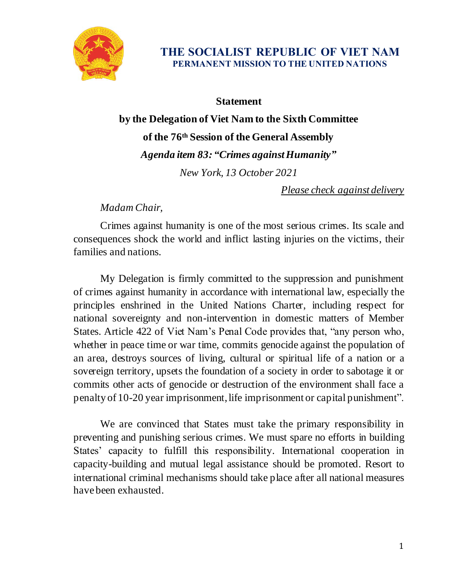

## **THE SOCIALIST REPUBLIC OF VIET NAM PERMANENT MISSION TO THE UNITED NATIONS**

## **Statement**

**by the Delegation of Viet Nam to the Sixth Committee of the 76 th Session of the General Assembly** *Agenda item 83: "Crimes against Humanity" New York, 13 October 2021*

*Please check against delivery*

## *Madam Chair,*

Crimes against humanity is one of the most serious crimes. Its scale and consequences shock the world and inflict lasting injuries on the victims, their families and nations.

My Delegation is firmly committed to the suppression and punishment of crimes against humanity in accordance with international law, especially the principles enshrined in the United Nations Charter, including respect for national sovereignty and non-intervention in domestic matters of Member States. Article 422 of Viet Nam's Penal Code provides that, "any person who, whether in peace time or war time, commits genocide against the population of an area, destroys sources of living, cultural or spiritual life of a nation or a sovereign territory, upsets the foundation of a society in order to sabotage it or commits other acts of genocide or destruction of the environment shall face a penalty of 10-20 year imprisonment, life imprisonment or capital punishment".

We are convinced that States must take the primary responsibility in preventing and punishing serious crimes. We must spare no efforts in building States' capacity to fulfill this responsibility. International cooperation in capacity-building and mutual legal assistance should be promoted. Resort to international criminal mechanisms should take place after all national measures have been exhausted.